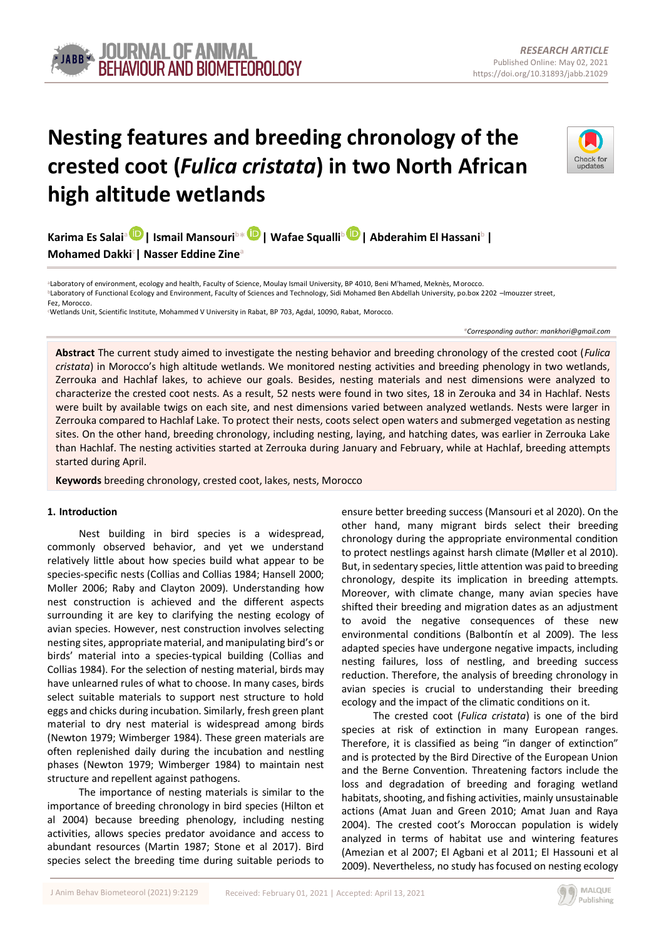# **Nesting features and breeding chronology of the crested coot (***Fulica cristata***) in two North African high altitude wetlands**



**Karima Es Salai<sup>a</sup> | Ismail Mansouri<sup>b</sup>\* [|](https://orcid.org/0000-0002-3679-6050) Wafae Squalli[b](https://orcid.org/0000-0002-5480-8617) | Abderahim El Hassani<sup>b</sup>| Mohamed Dakki<sup>c</sup> | Nasser Eddine Zine<sup>a</sup>**

**<sup>a</sup>**Laboratory of environment, ecology and health, Faculty of Science, Moulay Ismail University, BP 4010, Beni M'hamed, Meknès, Morocco. **bLaboratory of Functional Ecology and Environment, Faculty of Sciences and Technology, Sidi Mohamed Ben Abdellah University, po.box 2202 -Imouzzer street,** Fez, Morocco.

**<sup>c</sup>**Wetlands Unit, Scientific Institute, Mohammed V University in Rabat, BP 703, Agdal, 10090, Rabat, Morocco.

*\*Corresponding author[: mankhori@gmail.com](mailto:mankhori@gmail.com)*

**Abstract** The current study aimed to investigate the nesting behavior and breeding chronology of the crested coot (*Fulica cristata*) in Morocco's high altitude wetlands. We monitored nesting activities and breeding phenology in two wetlands, Zerrouka and Hachlaf lakes, to achieve our goals. Besides, nesting materials and nest dimensions were analyzed to characterize the crested coot nests. As a result, 52 nests were found in two sites, 18 in Zerouka and 34 in Hachlaf. Nests were built by available twigs on each site, and nest dimensions varied between analyzed wetlands. Nests were larger in Zerrouka compared to Hachlaf Lake. To protect their nests, coots select open waters and submerged vegetation as nesting sites. On the other hand, breeding chronology, including nesting, laying, and hatching dates, was earlier in Zerrouka Lake than Hachlaf. The nesting activities started at Zerrouka during January and February, while at Hachlaf, breeding attempts started during April.

**Keywords** breeding chronology, crested coot, lakes, nests, Morocco

# **1. Introduction**

Nest building in bird species is a widespread, commonly observed behavior, and yet we understand relatively little about how species build what appear to be species-specific nests (Collias and Collias 1984; Hansell 2000; Moller 2006; Raby and Clayton 2009). Understanding how nest construction is achieved and the different aspects surrounding it are key to clarifying the nesting ecology of avian species. However, nest construction involves selecting nesting sites, appropriate material, and manipulating bird's or birds' material into a species-typical building (Collias and Collias 1984). For the selection of nesting material, birds may have unlearned rules of what to choose. In many cases, birds select suitable materials to support nest structure to hold eggs and chicks during incubation. Similarly, fresh green plant material to dry nest material is widespread among birds (Newton 1979; Wimberger 1984). These green materials are often replenished daily during the incubation and nestling phases (Newton 1979; Wimberger 1984) to maintain nest structure and repellent against pathogens.

The importance of nesting materials is similar to the importance of breeding chronology in bird species (Hilton et al 2004) because breeding phenology, including nesting activities, allows species predator avoidance and access to abundant resources (Martin 1987; Stone et al 2017). Bird species select the breeding time during suitable periods to

ensure better breeding success (Mansouri et al 2020). On the other hand, many migrant birds select their breeding chronology during the appropriate environmental condition to protect nestlings against harsh climate (Møller et al 2010). But, in sedentary species, little attention was paid to breeding chronology, despite its implication in breeding attempts. Moreover, with climate change, many avian species have shifted their breeding and migration dates as an adjustment to avoid the negative consequences of these new environmental conditions (Balbontín et al 2009). The less adapted species have undergone negative impacts, including nesting failures, loss of nestling, and breeding success reduction. Therefore, the analysis of breeding chronology in avian species is crucial to understanding their breeding ecology and the impact of the climatic conditions on it.

The crested coot (*Fulica cristata*) is one of the bird species at risk of extinction in many European ranges. Therefore, it is classified as being "in danger of extinction" and is protected by the Bird Directive of the European Union and the Berne Convention. Threatening factors include the loss and degradation of breeding and foraging wetland habitats, shooting, and fishing activities, mainly unsustainable actions (Amat Juan and Green 2010; Amat Juan and Raya 2004). The crested coot's Moroccan population is widely analyzed in terms of habitat use and wintering features (Amezian et al 2007; El Agbani et al 2011; El Hassouni et al 2009). Nevertheless, no study has focused on nesting ecology

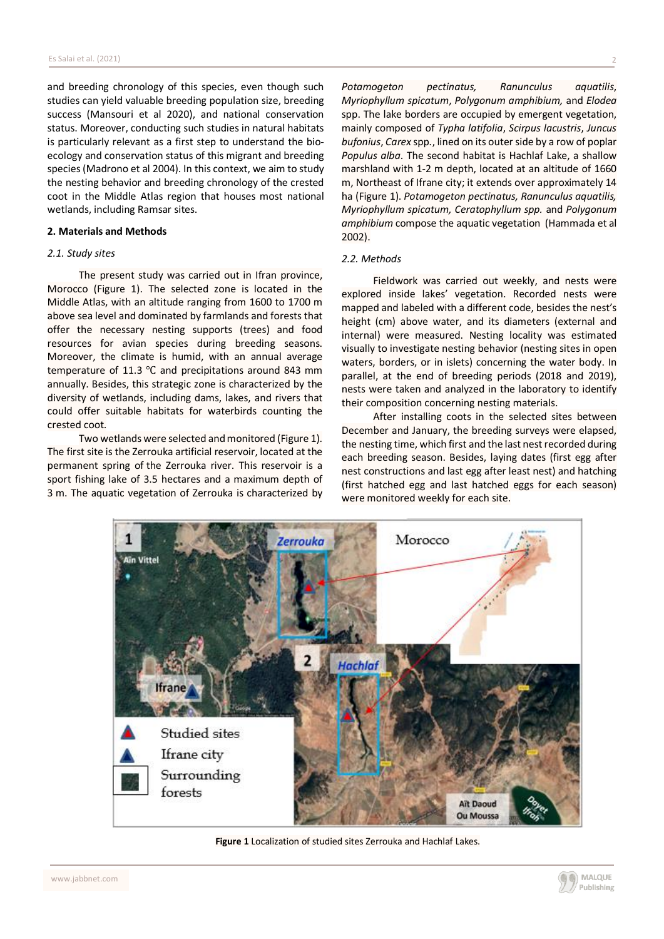and breeding chronology of this species, even though such studies can yield valuable breeding population size, breeding success (Mansouri et al 2020), and national conservation status. Moreover, conducting such studies in natural habitats is particularly relevant as a first step to understand the bioecology and conservation status of this migrant and breeding species(Madrono et al 2004). In this context, we aim to study the nesting behavior and breeding chronology of the crested coot in the Middle Atlas region that houses most national wetlands, including Ramsar sites.

#### **2. Materials and Methods**

## *2.1. Study sites*

The present study was carried out in Ifran province, Morocco (Figure 1). The selected zone is located in the Middle Atlas, with an altitude ranging from 1600 to 1700 m above sea level and dominated by farmlands and forests that offer the necessary nesting supports (trees) and food resources for avian species during breeding seasons. Moreover, the climate is humid, with an annual average temperature of 11.3 ℃ and precipitations around 843 mm annually. Besides, this strategic zone is characterized by the diversity of wetlands, including dams, lakes, and rivers that could offer suitable habitats for waterbirds counting the crested coot.

Two wetlands were selected and monitored (Figure 1). The first site is the Zerrouka artificial reservoir, located at the permanent spring of the Zerrouka river. This reservoir is a sport fishing lake of 3.5 hectares and a maximum depth of 3 m. The aquatic vegetation of Zerrouka is characterized by

*Potamogeton pectinatus, Ranunculus aquatilis*, *Myriophyllum spicatum*, *Polygonum amphibium,* and *Elodea* spp. The lake borders are occupied by emergent vegetation, mainly composed of *Typha latifolia*, *Scirpus lacustris*, *Juncus bufonius*, *Carex* spp*.*, lined on its outer side by a row of poplar *Populus alba*. The second habitat is Hachlaf Lake, a shallow marshland with 1-2 m depth, located at an altitude of 1660 m, Northeast of Ifrane city; it extends over approximately 14 ha (Figure 1). *Potamogeton pectinatus, Ranunculus aquatilis, Myriophyllum spicatum, Ceratophyllum spp.* and *Polygonum amphibium* compose the aquatic vegetation (Hammada et al 2002).

#### *2.2. Methods*

Fieldwork was carried out weekly, and nests were explored inside lakes' vegetation. Recorded nests were mapped and labeled with a different code, besides the nest's height (cm) above water, and its diameters (external and internal) were measured. Nesting locality was estimated visually to investigate nesting behavior (nesting sites in open waters, borders, or in islets) concerning the water body. In parallel, at the end of breeding periods (2018 and 2019), nests were taken and analyzed in the laboratory to identify their composition concerning nesting materials.

After installing coots in the selected sites between December and January, the breeding surveys were elapsed, the nesting time, which first and the last nest recorded during each breeding season. Besides, laying dates (first egg after nest constructions and last egg after least nest) and hatching (first hatched egg and last hatched eggs for each season) were monitored weekly for each site.



**Figure 1** Localization of studied sites Zerrouka and Hachlaf Lakes.

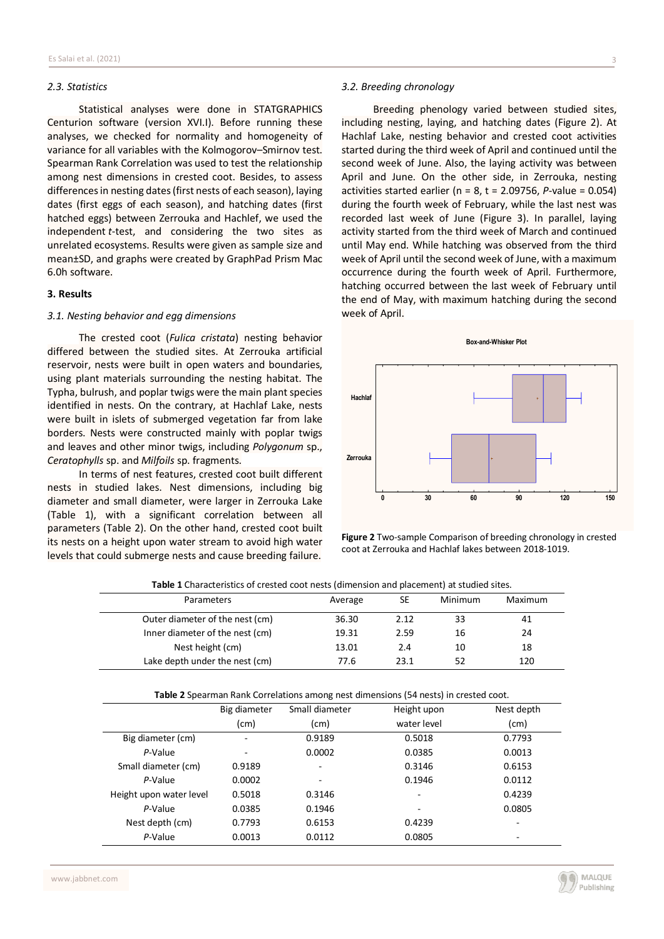## *2.3. Statistics*

Statistical analyses were done in STATGRAPHICS Centurion software (version XVI.I). Before running these analyses, we checked for normality and homogeneity of variance for all variables with the Kolmogorov–Smirnov test. Spearman Rank Correlation was used to test the relationship among nest dimensions in crested coot. Besides, to assess differencesin nesting dates(first nests of each season), laying dates (first eggs of each season), and hatching dates (first hatched eggs) between Zerrouka and Hachlef, we used the independent *t*-test, and considering the two sites as unrelated ecosystems. Results were given as sample size and mean±SD, and graphs were created by GraphPad Prism Mac 6.0h software.

#### **3. Results**

#### *3.1. Nesting behavior and egg dimensions*

The crested coot (*Fulica cristata*) nesting behavior differed between the studied sites. At Zerrouka artificial reservoir, nests were built in open waters and boundaries, using plant materials surrounding the nesting habitat. The Typha, bulrush, and poplar twigs were the main plant species identified in nests. On the contrary, at Hachlaf Lake, nests were built in islets of submerged vegetation far from lake borders. Nests were constructed mainly with poplar twigs and leaves and other minor twigs, including *Polygonum* sp., *Ceratophylls* sp. and *Milfoils* sp. fragments.

In terms of nest features, crested coot built different nests in studied lakes. Nest dimensions, including big diameter and small diameter, were larger in Zerrouka Lake (Table 1), with a significant correlation between all parameters (Table 2). On the other hand, crested coot built its nests on a height upon water stream to avoid high water levels that could submerge nests and cause breeding failure.

## *3.2. Breeding chronology*

Breeding phenology varied between studied sites, including nesting, laying, and hatching dates (Figure 2). At Hachlaf Lake, nesting behavior and crested coot activities started during the third week of April and continued until the second week of June. Also, the laying activity was between April and June. On the other side, in Zerrouka, nesting activities started earlier ( $n = 8$ ,  $t = 2.09756$ ,  $P$ -value = 0.054) during the fourth week of February, while the last nest was recorded last week of June (Figure 3). In parallel, laying activity started from the third week of March and continued until May end. While hatching was observed from the third week of April until the second week of June, with a maximum occurrence during the fourth week of April. Furthermore, hatching occurred between the last week of February until the end of May, with maximum hatching during the second week of April.

**Box-and-Whisker Plot**



**Figure 2** Two-sample Comparison of breeding chronology in crested coot at Zerrouka and Hachlaf lakes between 2018-1019.

| Parameters                                                                           | Average      | SE             | Minimum     | Maximum |            |
|--------------------------------------------------------------------------------------|--------------|----------------|-------------|---------|------------|
| Outer diameter of the nest (cm)                                                      |              | 36.30          | 2.12        | 33      | 41         |
| Inner diameter of the nest (cm)                                                      |              | 19.31          | 2.59        | 16      | 24         |
| Nest height (cm)                                                                     |              | 13.01          | 2.4         | 10      | 18         |
| Lake depth under the nest (cm)                                                       |              | 77.6           | 23.1        | 52      | 120        |
| Table 2 Spearman Rank Correlations among nest dimensions (54 nests) in crested coot. |              |                |             |         |            |
|                                                                                      | Big diameter | Small diameter | Height upon |         | Nest depth |
|                                                                                      | (cm)         | (cm)           | water level |         | (cm)       |
| Big diameter (cm)                                                                    |              | 0.9189         | 0.5018      |         | 0.7793     |
| P-Value                                                                              |              | 0.0002         | 0.0385      |         | 0.0013     |
| Small diameter (cm)                                                                  | 0.9189       |                | 0.3146      |         | 0.6153     |
| P-Value                                                                              | 0.0002       |                | 0.1946      |         | 0.0112     |
| Height upon water level                                                              | 0.5018       | 0.3146         |             |         | 0.4239     |
| P-Value                                                                              | 0.0385       | 0.1946         |             |         | 0.0805     |
| Nest depth (cm)                                                                      | 0.7793       | 0.6153         | 0.4239      |         |            |
| P-Value                                                                              | 0.0013       | 0.0112         | 0.0805      |         |            |

**Table 1** Characteristics of crested coot nests (dimension and placement) at studied sites.

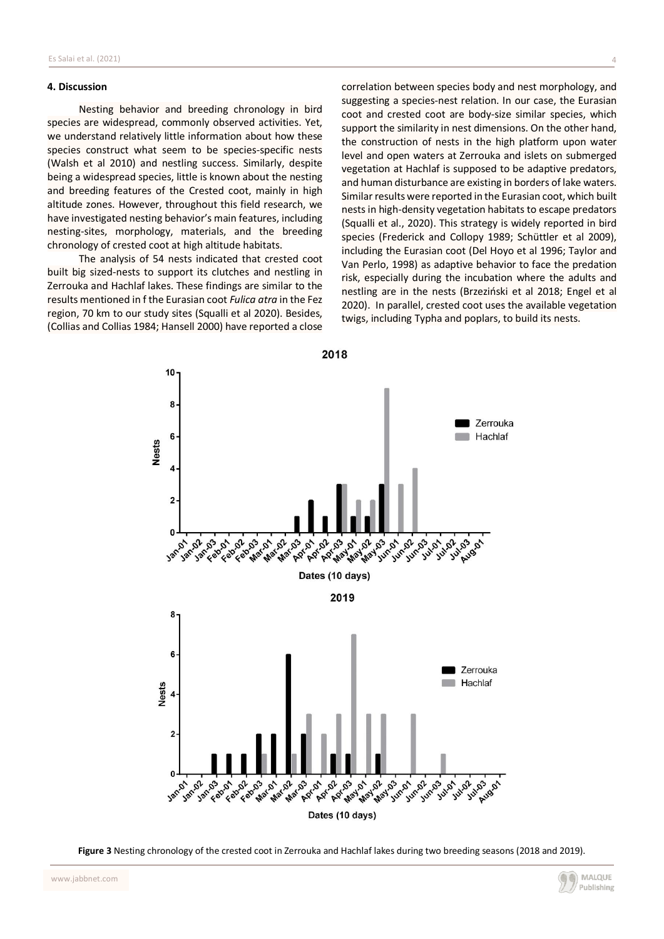## **4. Discussion**

Nesting behavior and breeding chronology in bird species are widespread, commonly observed activities. Yet, we understand relatively little information about how these species construct what seem to be species-specific nests (Walsh et al 2010) and nestling success. Similarly, despite being a widespread species, little is known about the nesting and breeding features of the Crested coot, mainly in high altitude zones. However, throughout this field research, we have investigated nesting behavior's main features, including nesting-sites, morphology, materials, and the breeding chronology of crested coot at high altitude habitats.

The analysis of 54 nests indicated that crested coot built big sized-nests to support its clutches and nestling in Zerrouka and Hachlaf lakes. These findings are similar to the results mentioned in f the Eurasian coot *Fulica atra* in the Fez region, 70 km to our study sites (Squalli et al 2020). Besides, (Collias and Collias 1984; Hansell 2000) have reported a close

correlation between species body and nest morphology, and suggesting a species-nest relation. In our case, the Eurasian coot and crested coot are body-size similar species, which support the similarity in nest dimensions. On the other hand, the construction of nests in the high platform upon water level and open waters at Zerrouka and islets on submerged vegetation at Hachlaf is supposed to be adaptive predators, and human disturbance are existing in borders of lake waters. Similar results were reported in the Eurasian coot, which built nests in high-density vegetation habitats to escape predators (Squalli et al., 2020). This strategy is widely reported in bird species (Frederick and Collopy 1989; Schüttler et al 2009), including the Eurasian coot (Del Hoyo et al 1996; Taylor and Van Perlo, 1998) as adaptive behavior to face the predation risk, especially during the incubation where the adults and nestling are in the nests (Brzeziński et al 2018; Engel et al 2020). In parallel, crested coot uses the available vegetation twigs, including Typha and poplars, to build its nests.



**Figure 3** Nesting chronology of the crested coot in Zerrouka and Hachlaf lakes during two breeding seasons (2018 and 2019).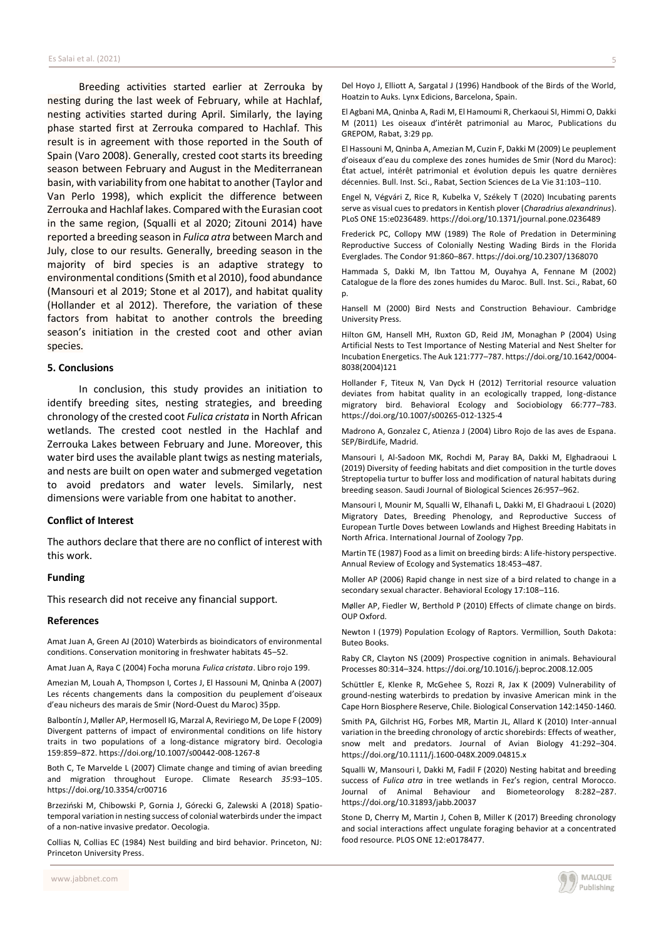Breeding activities started earlier at Zerrouka by nesting during the last week of February, while at Hachlaf, nesting activities started during April. Similarly, the laying phase started first at Zerrouka compared to Hachlaf. This result is in agreement with those reported in the South of Spain (Varo 2008). Generally, crested coot starts its breeding season between February and August in the Mediterranean basin, with variability from one habitat to another (Taylor and Van Perlo 1998), which explicit the difference between Zerrouka and Hachlaf lakes. Compared with the Eurasian coot in the same region, (Squalli et al 2020; Zitouni 2014) have reported a breeding season in *Fulica atra* between March and July, close to our results. Generally, breeding season in the majority of bird species is an adaptive strategy to environmental conditions(Smith et al 2010), food abundance (Mansouri et al 2019; Stone et al 2017), and habitat quality (Hollander et al 2012). Therefore, the variation of these factors from habitat to another controls the breeding season's initiation in the crested coot and other avian species.

#### **5. Conclusions**

In conclusion, this study provides an initiation to identify breeding sites, nesting strategies, and breeding chronology of the crested coot *Fulica cristata* in North African wetlands. The crested coot nestled in the Hachlaf and Zerrouka Lakes between February and June. Moreover, this water bird uses the available plant twigs as nesting materials, and nests are built on open water and submerged vegetation to avoid predators and water levels. Similarly, nest dimensions were variable from one habitat to another.

## **Conflict of Interest**

The authors declare that there are no conflict of interest with this work.

#### **Funding**

This research did not receive any financial support.

#### **References**

Amat Juan A, Green AJ (2010) Waterbirds as bioindicators of environmental conditions. Conservation monitoring in freshwater habitats 45–52.

Amat Juan A, Raya C (2004) Focha moruna *Fulica cristata*. Libro rojo 199.

Amezian M, Louah A, Thompson I, Cortes J, El Hassouni M, Qninba A (2007) Les récents changements dans la composition du peuplement d'oiseaux d'eau nicheurs des marais de Smir (Nord-Ouest du Maroc) 35pp.

Balbontín J, Møller AP, Hermosell IG, Marzal A, Reviriego M, De Lope F (2009) Divergent patterns of impact of environmental conditions on life history traits in two populations of a long-distance migratory bird. Oecologia 159:859–872. https://doi.org/10.1007/s00442-008-1267-8

Both C, Te Marvelde L (2007) Climate change and timing of avian breeding and migration throughout Europe. Climate Research *35*:93–105. https://doi.org/10.3354/cr00716

Brzeziński M, Chibowski P, Gornia J, Górecki G, Zalewski A (2018) Spatiotemporal variation in nesting success of colonial waterbirds under the impact of a non-native invasive predator. Oecologia.

Collias N, Collias EC (1984) Nest building and bird behavior. Princeton, NJ: Princeton University Press.

Del Hoyo J, Elliott A, Sargatal J (1996) Handbook of the Birds of the World, Hoatzin to Auks. Lynx Edicions, Barcelona, Spain.

El Agbani MA, Qninba A, Radi M, El Hamoumi R, Cherkaoui SI, Himmi O, Dakki M (2011) Les oiseaux d'intérêt patrimonial au Maroc, Publications du GREPOM, Rabat, 3:29 pp*.*

El Hassouni M, Qninba A, Amezian M, Cuzin F, Dakki M (2009) Le peuplement d'oiseaux d'eau du complexe des zones humides de Smir (Nord du Maroc): État actuel, intérêt patrimonial et évolution depuis les quatre dernières décennies. Bull. Inst. Sci., Rabat, Section Sciences de La Vie 31:103–110.

Engel N, Végvári Z, Rice R, Kubelka V, Székely T (2020) Incubating parents serve as visual cues to predators in Kentish plover (*Charadrius alexandrinus*). PLoS ONE 15:e0236489. https://doi.org/10.1371/journal.pone.0236489

Frederick PC, Collopy MW (1989) The Role of Predation in Determining Reproductive Success of Colonially Nesting Wading Birds in the Florida Everglades. The Condor 91:860–867. https://doi.org/10.2307/1368070

Hammada S, Dakki M, Ibn Tattou M, Ouyahya A, Fennane M (2002) Catalogue de la flore des zones humides du Maroc. Bull. Inst. Sci., Rabat, 60 p.

Hansell M (2000) Bird Nests and Construction Behaviour. Cambridge University Press.

Hilton GM, Hansell MH, Ruxton GD, Reid JM, Monaghan P (2004) Using Artificial Nests to Test Importance of Nesting Material and Nest Shelter for Incubation Energetics. The Auk 121:777–787. https://doi.org/10.1642/0004- 8038(2004)121

Hollander F, Titeux N, Van Dyck H (2012) Territorial resource valuation deviates from habitat quality in an ecologically trapped, long-distance migratory bird. Behavioral Ecology and Sociobiology 66:777–783. https://doi.org/10.1007/s00265-012-1325-4

Madrono A, Gonzalez C, Atienza J (2004) Libro Rojo de las aves de Espana. SEP/BirdLife, Madrid.

Mansouri I, Al-Sadoon MK, Rochdi M, Paray BA, Dakki M, Elghadraoui L (2019) Diversity of feeding habitats and diet composition in the turtle doves Streptopelia turtur to buffer loss and modification of natural habitats during breeding season. Saudi Journal of Biological Sciences 26:957–962.

Mansouri I, Mounir M, Squalli W, Elhanafi L, Dakki M, El Ghadraoui L (2020) Migratory Dates, Breeding Phenology, and Reproductive Success of European Turtle Doves between Lowlands and Highest Breeding Habitats in North Africa. International Journal of Zoology 7pp.

Martin TE (1987) Food as a limit on breeding birds: A life-history perspective. Annual Review of Ecology and Systematics 18:453–487.

Moller AP (2006) Rapid change in nest size of a bird related to change in a secondary sexual character. Behavioral Ecology 17:108–116*.*

Møller AP, Fiedler W, Berthold P (2010) Effects of climate change on birds. OUP Oxford.

Newton I (1979) Population Ecology of Raptors. Vermillion, South Dakota: Buteo Books.

Raby CR, Clayton NS (2009) Prospective cognition in animals. Behavioural Processes 80:314–324. https://doi.org/10.1016/j.beproc.2008.12.005

Schüttler E, Klenke R, McGehee S, Rozzi R, Jax K (2009) Vulnerability of ground-nesting waterbirds to predation by invasive American mink in the Cape Horn Biosphere Reserve, Chile. Biological Conservation 142:1450-1460*.*

Smith PA, Gilchrist HG, Forbes MR, Martin JL, Allard K (2010) Inter-annual variation in the breeding chronology of arctic shorebirds: Effects of weather, snow melt and predators. Journal of Avian Biology 41:292–304. https://doi.org/10.1111/j.1600-048X.2009.04815.x

Squalli W, Mansouri I, Dakki M, Fadil F (2020) Nesting habitat and breeding success of *Fulica atra* in tree wetlands in Fez's region, central Morocco. Journal of Animal Behaviour and Biometeorology 8:282–287. https://doi.org/10.31893/jabb.20037

Stone D, Cherry M, Martin J, Cohen B, Miller K (2017) Breeding chronology and social interactions affect ungulate foraging behavior at a concentrated food resource. PLOS ONE 12:e0178477.